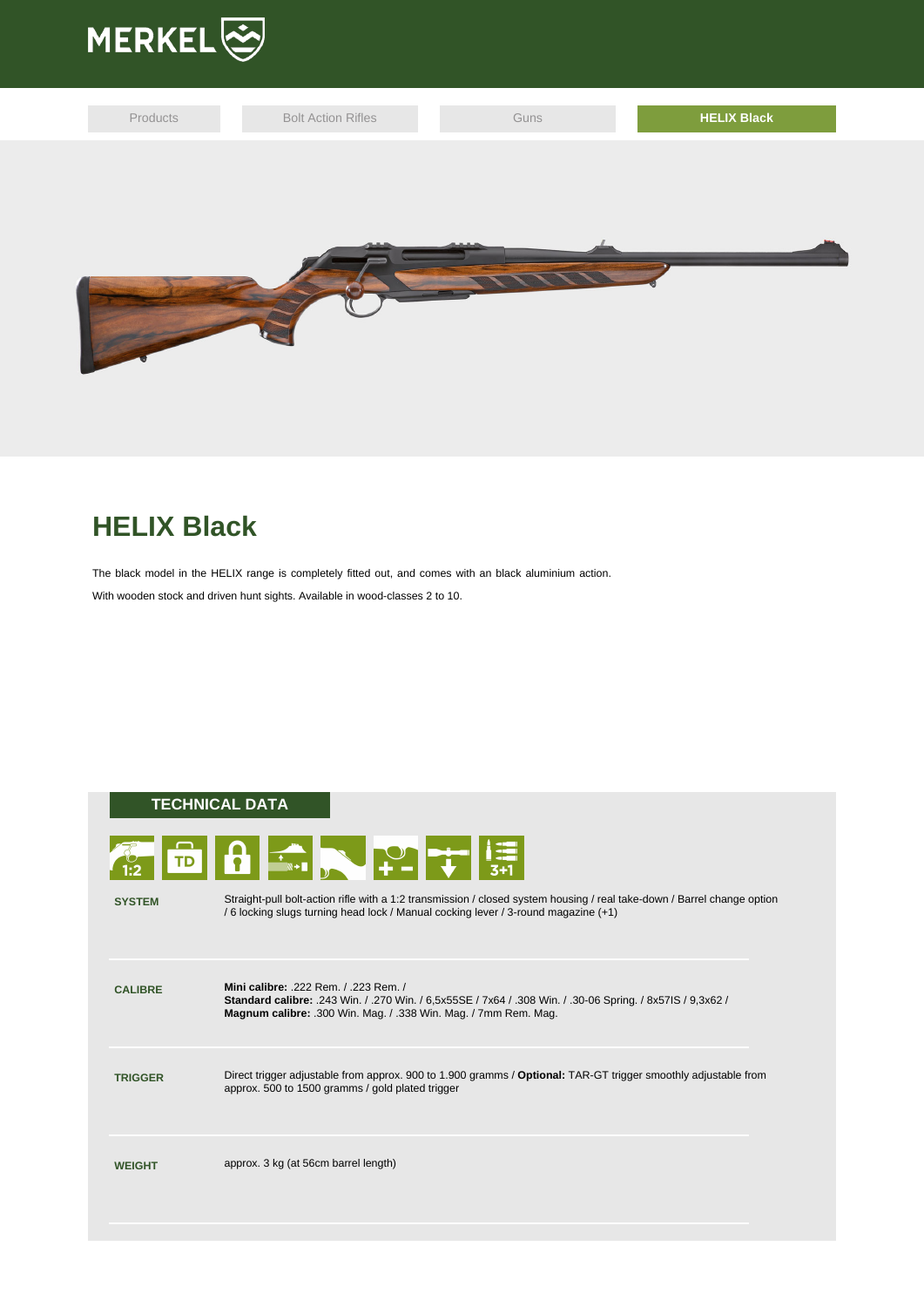

| Products | <b>Bolt Action Rifles</b> | Guns | <b>HELIX Black</b> |
|----------|---------------------------|------|--------------------|
|          |                           |      |                    |
|          |                           |      |                    |
|          |                           |      |                    |
|          |                           |      |                    |
|          |                           |      |                    |
|          |                           |      |                    |

## **HELIX Black**

The black model in the HELIX range is completely fitted out, and comes with an black aluminium action. With wooden stock and driven hunt sights. Available in wood-classes 2 to 10.

## **TECHNICAL DATA**



| <b>SYSTEM</b>  | Straight-pull bolt-action rifle with a 1:2 transmission / closed system housing / real take-down / Barrel change option<br>/6 locking slugs turning head lock / Manual cocking lever / 3-round magazine (+1)       |
|----------------|--------------------------------------------------------------------------------------------------------------------------------------------------------------------------------------------------------------------|
| <b>CALIBRE</b> | Mini calibre: 222 Rem / 223 Rem /<br>Standard calibre: .243 Win. / .270 Win. / 6,5x55SE / 7x64 / .308 Win. / .30-06 Spring. / 8x57IS / 9,3x62 /<br>Magnum calibre: .300 Win. Mag. / .338 Win. Mag. / 7mm Rem. Mag. |
| <b>TRIGGER</b> | Direct trigger adjustable from approx. 900 to 1.900 gramms / Optional: TAR-GT trigger smoothly adjustable from<br>approx. 500 to 1500 gramms / gold plated trigger                                                 |
| <b>WEIGHT</b>  | approx. 3 kg (at 56cm barrel length)                                                                                                                                                                               |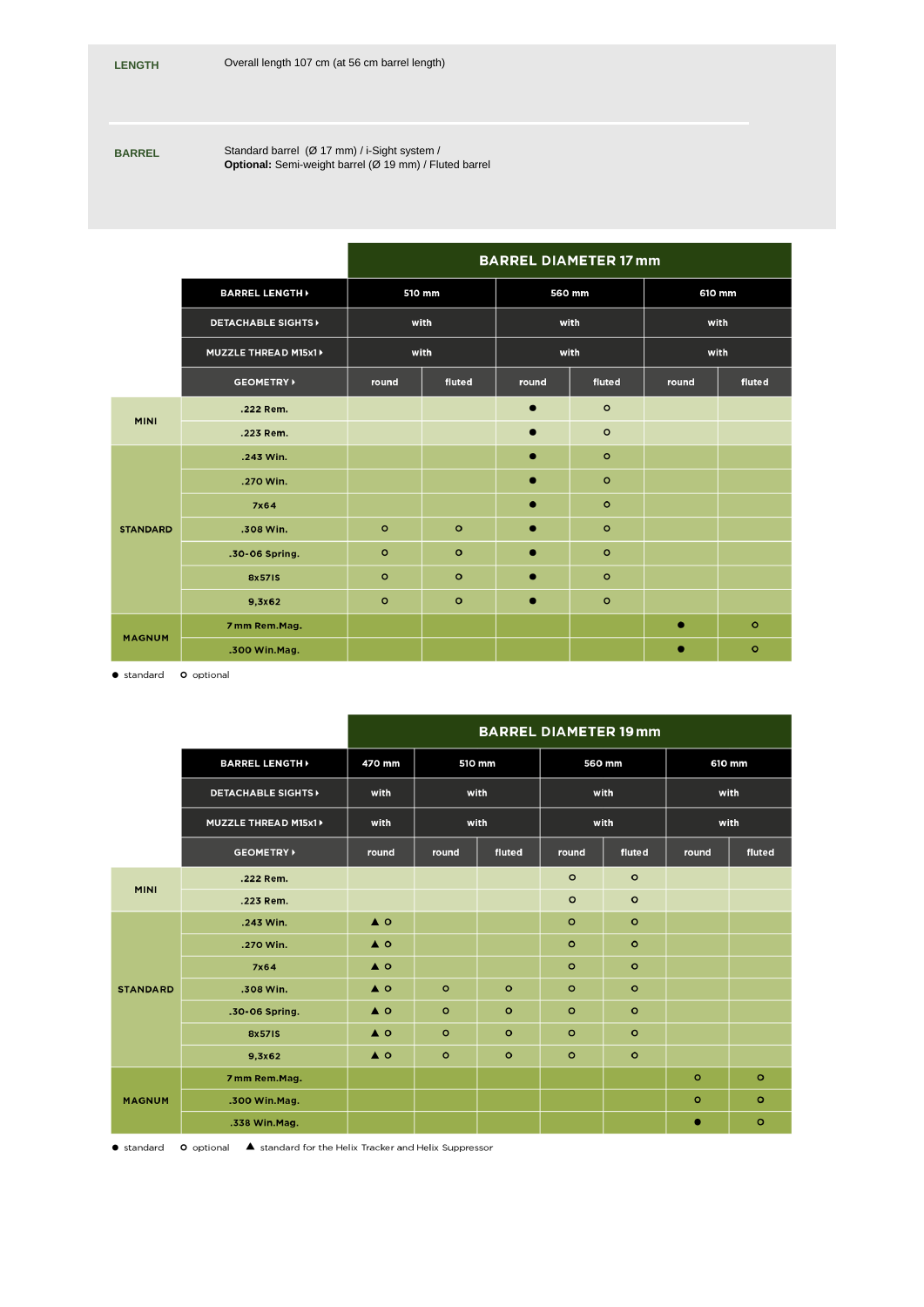**BARREL** Standard barrel (Ø 17 mm) / i-Sight system / **Optional:** Semi-weight barrel (Ø 19 mm) / Fluted barrel

|                              |                 |         | <b>BARREL DIAMETER 17 mm</b> |           |         |           |         |  |  |  |
|------------------------------|-----------------|---------|------------------------------|-----------|---------|-----------|---------|--|--|--|
| <b>BARREL LENGTH</b>         |                 | 510 mm  |                              | 560 mm    |         | 610 mm    |         |  |  |  |
| <b>DETACHABLE SIGHTS&gt;</b> |                 | with    |                              | with      |         | with      |         |  |  |  |
| MUZZLE THREAD M15x1 >        |                 | with    |                              | with      |         | with      |         |  |  |  |
|                              | <b>GEOMETRY</b> | round   | fluted                       | round     | fluted  | round     | fluted  |  |  |  |
| <b>MINI</b>                  | .222 Rem.       |         |                              | $\bullet$ | $\circ$ |           |         |  |  |  |
|                              | .223 Rem.       |         |                              | $\bullet$ | $\circ$ |           |         |  |  |  |
|                              | .243 Win.       |         |                              | $\bullet$ | $\circ$ |           |         |  |  |  |
| <b>STANDARD</b>              | .270 Win.       |         |                              | $\bullet$ | $\circ$ |           |         |  |  |  |
|                              | 7x64            |         |                              | $\bullet$ | $\circ$ |           |         |  |  |  |
|                              | .308 Win.       | $\circ$ | $\circ$                      | $\bullet$ | $\circ$ |           |         |  |  |  |
|                              | .30-06 Spring.  | $\circ$ | $\circ$                      | $\bullet$ | $\circ$ |           |         |  |  |  |
|                              | 8x571S          | $\circ$ | $\circ$                      | $\bullet$ | $\circ$ |           |         |  |  |  |
|                              | 9,3x62          | $\circ$ | $\circ$                      | $\bullet$ | $\circ$ |           |         |  |  |  |
| <b>MAGNUM</b>                | 7 mm Rem.Mag.   |         |                              |           |         | $\bullet$ | $\circ$ |  |  |  |
|                              | .300 Win.Mag.   |         |                              |           |         | ۰         | $\circ$ |  |  |  |

· standard <br> **O** optional

|                                                       |                          | <b>BARREL DIAMETER 19 mm</b> |         |         |         |         |         |         |  |
|-------------------------------------------------------|--------------------------|------------------------------|---------|---------|---------|---------|---------|---------|--|
|                                                       | <b>BARREL LENGTH&gt;</b> |                              | 510 mm  |         | 560 mm  |         | 610 mm  |         |  |
| <b>DETACHABLE SIGHTS&gt;</b><br>MUZZLE THREAD M15x1 > |                          | with                         | with    |         | with    |         | with    |         |  |
|                                                       |                          | with                         | with    |         | with    |         | with    |         |  |
|                                                       | <b>GEOMETRY</b>          | round                        | round   | fluted  | round   | fluted  | round   | fluted  |  |
| <b>MINI</b>                                           | .222 Rem.                |                              |         |         | $\circ$ | $\circ$ |         |         |  |
|                                                       | .223 Rem.                |                              |         |         | $\circ$ | $\circ$ |         |         |  |
| <b>STANDARD</b>                                       | .243 Win.                | $\triangle$ O                |         |         | $\circ$ | $\circ$ |         |         |  |
|                                                       | .270 Win.                | $\triangle$ O                |         |         | $\circ$ | $\circ$ |         |         |  |
|                                                       | 7x64                     | $\triangle$ O                |         |         | $\circ$ | $\circ$ |         |         |  |
|                                                       | .308 Win.                | $\triangle$ O                | $\circ$ | $\circ$ | $\circ$ | $\circ$ |         |         |  |
|                                                       | .30-06 Spring.           | $\triangle$ O                | $\circ$ | $\circ$ | $\circ$ | $\circ$ |         |         |  |
|                                                       | 8x571S                   | $\triangle$ O                | $\circ$ | $\circ$ | $\circ$ | $\circ$ |         |         |  |
|                                                       | 9,3x62                   | $\triangle$ O                | $\circ$ | $\circ$ | $\circ$ | $\circ$ |         |         |  |
|                                                       | 7 mm Rem.Mag.            |                              |         |         |         |         | $\circ$ | $\circ$ |  |
| <b>MAGNUM</b>                                         | .300 Win.Mag.            |                              |         |         |         |         | $\circ$ | $\circ$ |  |
|                                                       | .338 Win.Mag.            |                              |         |         |         |         | ٠       | $\circ$ |  |

● standard • O optional • ▲ standard for the Helix Tracker and Helix Suppressor